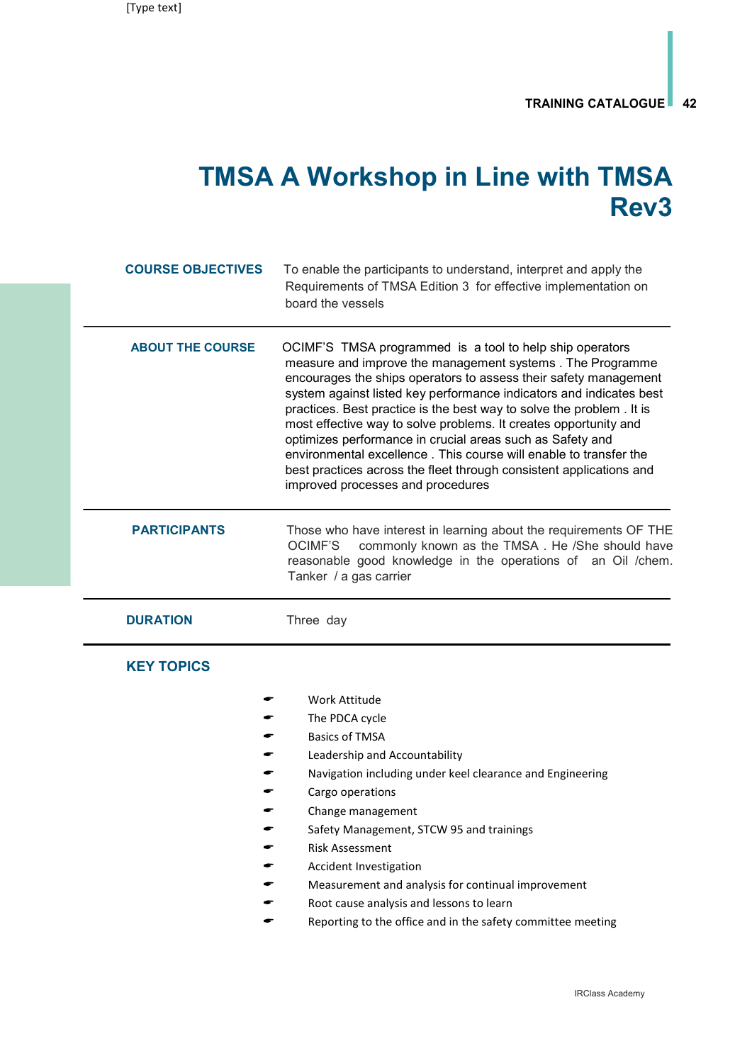## TMSA A Workshop in Line with TMSA Rev3

| <b>COURSE OBJECTIVES</b> | To enable the participants to understand, interpret and apply the<br>Requirements of TMSA Edition 3 for effective implementation on<br>board the vessels                                                                                                                                                                                                                                                                                                                                                                                                                                                                                                   |
|--------------------------|------------------------------------------------------------------------------------------------------------------------------------------------------------------------------------------------------------------------------------------------------------------------------------------------------------------------------------------------------------------------------------------------------------------------------------------------------------------------------------------------------------------------------------------------------------------------------------------------------------------------------------------------------------|
| <b>ABOUT THE COURSE</b>  | OCIMF'S TMSA programmed is a tool to help ship operators<br>measure and improve the management systems. The Programme<br>encourages the ships operators to assess their safety management<br>system against listed key performance indicators and indicates best<br>practices. Best practice is the best way to solve the problem. It is<br>most effective way to solve problems. It creates opportunity and<br>optimizes performance in crucial areas such as Safety and<br>environmental excellence. This course will enable to transfer the<br>best practices across the fleet through consistent applications and<br>improved processes and procedures |
| <b>PARTICIPANTS</b>      | Those who have interest in learning about the requirements OF THE<br>commonly known as the TMSA. He /She should have<br><b>OCIMF'S</b><br>reasonable good knowledge in the operations of an Oil /chem.<br>Tanker / a gas carrier                                                                                                                                                                                                                                                                                                                                                                                                                           |
| <b>DURATION</b>          | Three day                                                                                                                                                                                                                                                                                                                                                                                                                                                                                                                                                                                                                                                  |
| <b>KEY TOPICS</b>        |                                                                                                                                                                                                                                                                                                                                                                                                                                                                                                                                                                                                                                                            |
|                          | Work Attitude                                                                                                                                                                                                                                                                                                                                                                                                                                                                                                                                                                                                                                              |
|                          | The PDCA cycle                                                                                                                                                                                                                                                                                                                                                                                                                                                                                                                                                                                                                                             |
|                          | <b>Basics of TMSA</b>                                                                                                                                                                                                                                                                                                                                                                                                                                                                                                                                                                                                                                      |
|                          | Leadership and Accountability                                                                                                                                                                                                                                                                                                                                                                                                                                                                                                                                                                                                                              |
|                          | Navigation including under keel clearance and Engineering                                                                                                                                                                                                                                                                                                                                                                                                                                                                                                                                                                                                  |
|                          | Cargo operations                                                                                                                                                                                                                                                                                                                                                                                                                                                                                                                                                                                                                                           |
|                          | Change management                                                                                                                                                                                                                                                                                                                                                                                                                                                                                                                                                                                                                                          |
|                          | Safety Management, STCW 95 and trainings                                                                                                                                                                                                                                                                                                                                                                                                                                                                                                                                                                                                                   |
|                          | <b>Risk Assessment</b>                                                                                                                                                                                                                                                                                                                                                                                                                                                                                                                                                                                                                                     |
|                          | Accident Investigation<br>Measurement and analysis for continual improvement                                                                                                                                                                                                                                                                                                                                                                                                                                                                                                                                                                               |
|                          | Root cause analysis and lessons to learn                                                                                                                                                                                                                                                                                                                                                                                                                                                                                                                                                                                                                   |
|                          | Reporting to the office and in the safety committee meeting                                                                                                                                                                                                                                                                                                                                                                                                                                                                                                                                                                                                |